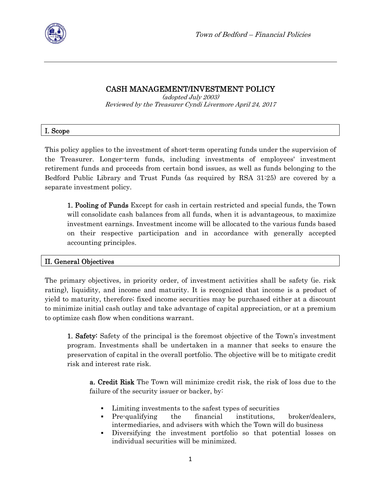

# CASH MANAGEMENT/INVESTMENT POLICY

(adopted July 2003) Reviewed by the Treasurer Cyndi Livermore April 24, 2017

|  | 1. Scope |
|--|----------|
|--|----------|

This policy applies to the investment of short-term operating funds under the supervision of the Treasurer. Longer-term funds, including investments of employees' investment retirement funds and proceeds from certain bond issues, as well as funds belonging to the Bedford Public Library and Trust Funds (as required by RSA 31:25) are covered by a separate investment policy.

1. Pooling of Funds Except for cash in certain restricted and special funds, the Town will consolidate cash balances from all funds, when it is advantageous, to maximize investment earnings. Investment income will be allocated to the various funds based on their respective participation and in accordance with generally accepted accounting principles.

# II. General Objectives

The primary objectives, in priority order, of investment activities shall be safety (ie. risk rating), liquidity, and income and maturity. It is recognized that income is a product of yield to maturity, therefore; fixed income securities may be purchased either at a discount to minimize initial cash outlay and take advantage of capital appreciation, or at a premium to optimize cash flow when conditions warrant.

1. Safety: Safety of the principal is the foremost objective of the Town's investment program. Investments shall be undertaken in a manner that seeks to ensure the preservation of capital in the overall portfolio. The objective will be to mitigate credit risk and interest rate risk.

a. Credit Risk The Town will minimize credit risk, the risk of loss due to the failure of the security issuer or backer, by:

- Limiting investments to the safest types of securities
- Pre-qualifying the financial institutions, broker/dealers, intermediaries, and advisers with which the Town will do business
- Diversifying the investment portfolio so that potential losses on individual securities will be minimized.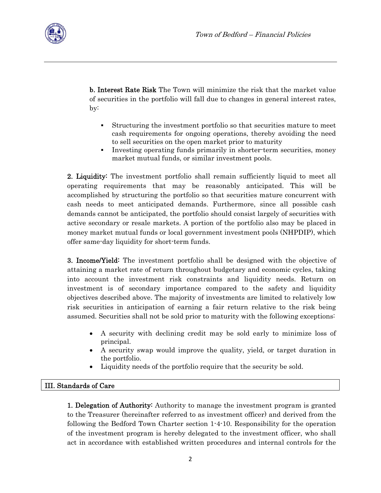

b. Interest Rate Risk The Town will minimize the risk that the market value of securities in the portfolio will fall due to changes in general interest rates, by:

- Structuring the investment portfolio so that securities mature to meet cash requirements for ongoing operations, thereby avoiding the need to sell securities on the open market prior to maturity
- Investing operating funds primarily in shorter-term securities, money market mutual funds, or similar investment pools.

2. Liquidity: The investment portfolio shall remain sufficiently liquid to meet all operating requirements that may be reasonably anticipated. This will be accomplished by structuring the portfolio so that securities mature concurrent with cash needs to meet anticipated demands. Furthermore, since all possible cash demands cannot be anticipated, the portfolio should consist largely of securities with active secondary or resale markets. A portion of the portfolio also may be placed in money market mutual funds or local government investment pools (NHPDIP), which offer same-day liquidity for short-term funds.

3. Income/Yield: The investment portfolio shall be designed with the objective of attaining a market rate of return throughout budgetary and economic cycles, taking into account the investment risk constraints and liquidity needs. Return on investment is of secondary importance compared to the safety and liquidity objectives described above. The majority of investments are limited to relatively low risk securities in anticipation of earning a fair return relative to the risk being assumed. Securities shall not be sold prior to maturity with the following exceptions:

- A security with declining credit may be sold early to minimize loss of principal.
- A security swap would improve the quality, yield, or target duration in the portfolio.
- Liquidity needs of the portfolio require that the security be sold.

# III. Standards of Care

1. Delegation of Authority: Authority to manage the investment program is granted to the Treasurer (hereinafter referred to as investment officer) and derived from the following the Bedford Town Charter section 1-4-10. Responsibility for the operation of the investment program is hereby delegated to the investment officer, who shall act in accordance with established written procedures and internal controls for the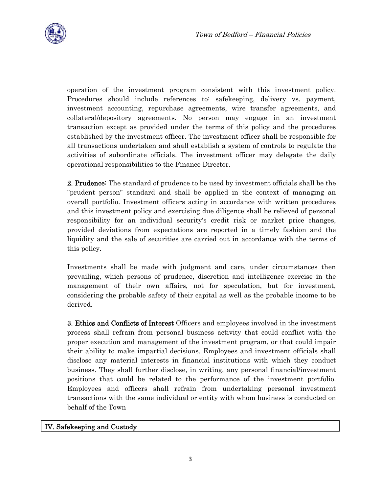operation of the investment program consistent with this investment policy. Procedures should include references to: safekeeping, delivery vs. payment, investment accounting, repurchase agreements, wire transfer agreements, and collateral/depository agreements. No person may engage in an investment transaction except as provided under the terms of this policy and the procedures established by the investment officer. The investment officer shall be responsible for all transactions undertaken and shall establish a system of controls to regulate the activities of subordinate officials. The investment officer may delegate the daily operational responsibilities to the Finance Director.

2. Prudence: The standard of prudence to be used by investment officials shall be the "prudent person" standard and shall be applied in the context of managing an overall portfolio. Investment officers acting in accordance with written procedures and this investment policy and exercising due diligence shall be relieved of personal responsibility for an individual security's credit risk or market price changes, provided deviations from expectations are reported in a timely fashion and the liquidity and the sale of securities are carried out in accordance with the terms of this policy.

Investments shall be made with judgment and care, under circumstances then prevailing, which persons of prudence, discretion and intelligence exercise in the management of their own affairs, not for speculation, but for investment, considering the probable safety of their capital as well as the probable income to be derived.

3. Ethics and Conflicts of Interest Officers and employees involved in the investment process shall refrain from personal business activity that could conflict with the proper execution and management of the investment program, or that could impair their ability to make impartial decisions. Employees and investment officials shall disclose any material interests in financial institutions with which they conduct business. They shall further disclose, in writing, any personal financial/investment positions that could be related to the performance of the investment portfolio. Employees and officers shall refrain from undertaking personal investment transactions with the same individual or entity with whom business is conducted on behalf of the Town

# IV. Safekeeping and Custody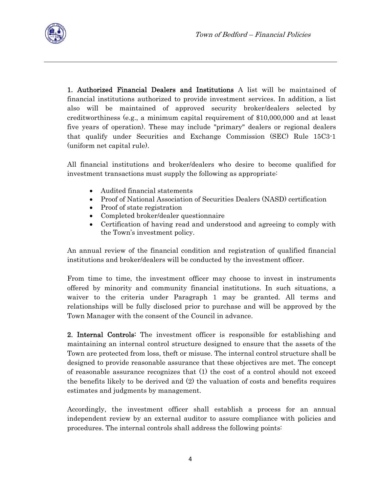

1. Authorized Financial Dealers and Institutions A list will be maintained of financial institutions authorized to provide investment services. In addition, a list also will be maintained of approved security broker/dealers selected by creditworthiness (e.g., a minimum capital requirement of \$10,000,000 and at least five years of operation). These may include "primary" dealers or regional dealers that qualify under Securities and Exchange Commission (SEC) Rule 15C3-1 (uniform net capital rule).

All financial institutions and broker/dealers who desire to become qualified for investment transactions must supply the following as appropriate:

- Audited financial statements
- Proof of National Association of Securities Dealers (NASD) certification
- Proof of state registration
- Completed broker/dealer questionnaire
- Certification of having read and understood and agreeing to comply with the Town's investment policy.

An annual review of the financial condition and registration of qualified financial institutions and broker/dealers will be conducted by the investment officer.

From time to time, the investment officer may choose to invest in instruments offered by minority and community financial institutions. In such situations, a waiver to the criteria under Paragraph 1 may be granted. All terms and relationships will be fully disclosed prior to purchase and will be approved by the Town Manager with the consent of the Council in advance.

2. Internal Controls: The investment officer is responsible for establishing and maintaining an internal control structure designed to ensure that the assets of the Town are protected from loss, theft or misuse. The internal control structure shall be designed to provide reasonable assurance that these objectives are met. The concept of reasonable assurance recognizes that (1) the cost of a control should not exceed the benefits likely to be derived and (2) the valuation of costs and benefits requires estimates and judgments by management.

Accordingly, the investment officer shall establish a process for an annual independent review by an external auditor to assure compliance with policies and procedures. The internal controls shall address the following points: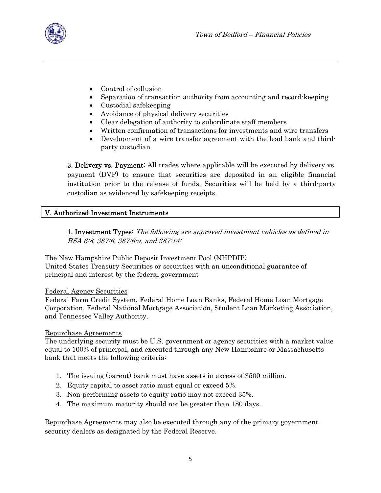

- Control of collusion
- Separation of transaction authority from accounting and record-keeping
- Custodial safekeeping
- Avoidance of physical delivery securities
- Clear delegation of authority to subordinate staff members
- Written confirmation of transactions for investments and wire transfers
- Development of a wire transfer agreement with the lead bank and thirdparty custodian

3. Delivery vs. Payment: All trades where applicable will be executed by delivery vs. payment (DVP) to ensure that securities are deposited in an eligible financial institution prior to the release of funds. Securities will be held by a third-party custodian as evidenced by safekeeping receipts.

### V. Authorized Investment Instruments

1. Investment Types: The following are approved investment vehicles as defined in RSA 6:8, 387:6, 387:6-a, and 387:14:

The New Hampshire Public Deposit Investment Pool (NHPDIP) United States Treasury Securities or securities with an unconditional guarantee of principal and interest by the federal government

#### Federal Agency Securities

Federal Farm Credit System, Federal Home Loan Banks, Federal Home Loan Mortgage Corporation, Federal National Mortgage Association, Student Loan Marketing Association, and Tennessee Valley Authority.

#### Repurchase Agreements

The underlying security must be U.S. government or agency securities with a market value equal to 100% of principal, and executed through any New Hampshire or Massachusetts bank that meets the following criteria:

- 1. The issuing (parent) bank must have assets in excess of \$500 million.
- 2. Equity capital to asset ratio must equal or exceed 5%.
- 3. Non-performing assets to equity ratio may not exceed 35%.
- 4. The maximum maturity should not be greater than 180 days.

Repurchase Agreements may also be executed through any of the primary government security dealers as designated by the Federal Reserve.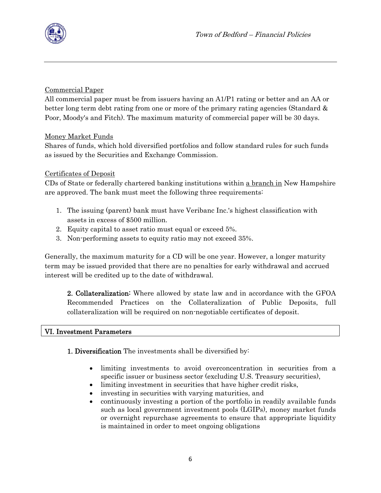

# Commercial Paper

All commercial paper must be from issuers having an A1/P1 rating or better and an AA or better long term debt rating from one or more of the primary rating agencies (Standard & Poor, Moody's and Fitch). The maximum maturity of commercial paper will be 30 days.

# Money Market Funds

Shares of funds, which hold diversified portfolios and follow standard rules for such funds as issued by the Securities and Exchange Commission.

# Certificates of Deposit

CDs of State or federally chartered banking institutions within a branch in New Hampshire are approved. The bank must meet the following three requirements:

- 1. The issuing (parent) bank must have Veribanc Inc.'s highest classification with assets in excess of \$500 million.
- 2. Equity capital to asset ratio must equal or exceed 5%.
- 3. Non-performing assets to equity ratio may not exceed 35%.

Generally, the maximum maturity for a CD will be one year. However, a longer maturity term may be issued provided that there are no penalties for early withdrawal and accrued interest will be credited up to the date of withdrawal.

2. Collateralization: Where allowed by state law and in accordance with the GFOA Recommended Practices on the Collateralization of Public Deposits, full collateralization will be required on non-negotiable certificates of deposit.

#### VI. Investment Parameters

1. Diversification The investments shall be diversified by:

- limiting investments to avoid overconcentration in securities from a specific issuer or business sector (excluding U.S. Treasury securities),
- limiting investment in securities that have higher credit risks,
- investing in securities with varying maturities, and
- continuously investing a portion of the portfolio in readily available funds such as local government investment pools (LGIPs), money market funds or overnight repurchase agreements to ensure that appropriate liquidity is maintained in order to meet ongoing obligations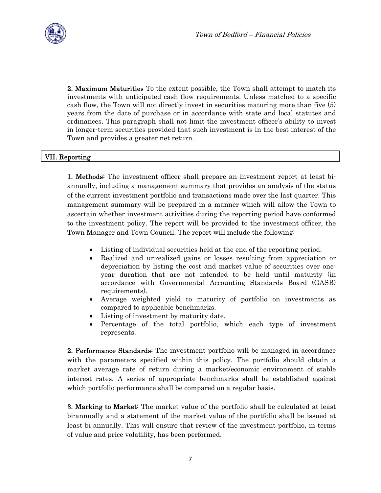

2. Maximum Maturities To the extent possible, the Town shall attempt to match its investments with anticipated cash flow requirements. Unless matched to a specific cash flow, the Town will not directly invest in securities maturing more than five (5) years from the date of purchase or in accordance with state and local statutes and ordinances. This paragraph shall not limit the investment officer's ability to invest in longer-term securities provided that such investment is in the best interest of the Town and provides a greater net return.

# VII. Reporting

1. Methods: The investment officer shall prepare an investment report at least biannually, including a management summary that provides an analysis of the status of the current investment portfolio and transactions made over the last quarter. This management summary will be prepared in a manner which will allow the Town to ascertain whether investment activities during the reporting period have conformed to the investment policy. The report will be provided to the investment officer, the Town Manager and Town Council. The report will include the following:

- Listing of individual securities held at the end of the reporting period.
- Realized and unrealized gains or losses resulting from appreciation or depreciation by listing the cost and market value of securities over oneyear duration that are not intended to be held until maturity (in accordance with Governmental Accounting Standards Board (GASB) requirements).
- Average weighted yield to maturity of portfolio on investments as compared to applicable benchmarks.
- Listing of investment by maturity date.
- Percentage of the total portfolio, which each type of investment represents.

2. Performance Standards: The investment portfolio will be managed in accordance with the parameters specified within this policy. The portfolio should obtain a market average rate of return during a market/economic environment of stable interest rates. A series of appropriate benchmarks shall be established against which portfolio performance shall be compared on a regular basis.

3. Marking to Market: The market value of the portfolio shall be calculated at least bi-annually and a statement of the market value of the portfolio shall be issued at least bi-annually. This will ensure that review of the investment portfolio, in terms of value and price volatility, has been performed.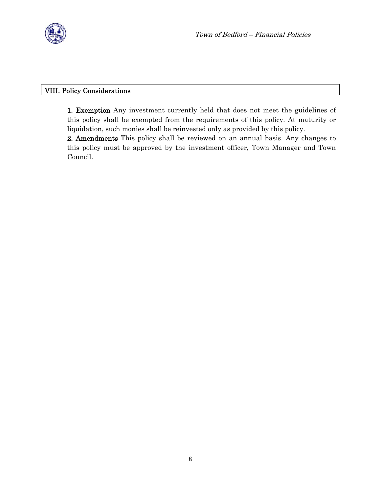

# VIII. Policy Considerations

1. Exemption Any investment currently held that does not meet the guidelines of this policy shall be exempted from the requirements of this policy. At maturity or liquidation, such monies shall be reinvested only as provided by this policy.

2. Amendments This policy shall be reviewed on an annual basis. Any changes to this policy must be approved by the investment officer, Town Manager and Town Council.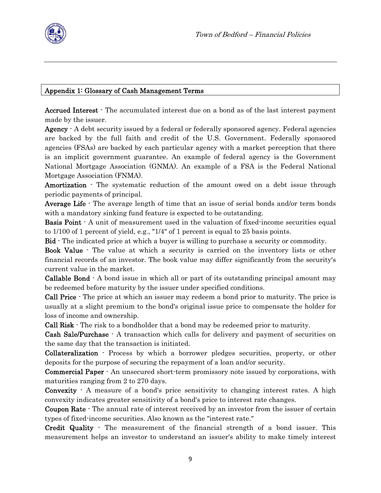

### Appendix 1: Glossary of Cash Management Terms

Accrued Interest - The accumulated interest due on a bond as of the last interest payment made by the issuer.

Agency  $\cdot$  A debt security issued by a federal or federally sponsored agency. Federal agencies are backed by the full faith and credit of the U.S. Government. Federally sponsored agencies (FSAs) are backed by each particular agency with a market perception that there is an implicit government guarantee. An example of federal agency is the Government National Mortgage Association (GNMA). An example of a FSA is the Federal National Mortgage Association (FNMA).

Amortization  $\cdot$  The systematic reduction of the amount owed on a debt issue through periodic payments of principal.

Average Life  $\cdot$  The average length of time that an issue of serial bonds and/or term bonds with a mandatory sinking fund feature is expected to be outstanding.

**Basis Point**  $\cdot$  A unit of measurement used in the valuation of fixed-income securities equal to 1/100 of 1 percent of yield, e.g., "1/4" of 1 percent is equal to 25 basis points.

Bid - The indicated price at which a buyer is willing to purchase a security or commodity.

Book Value - The value at which a security is carried on the inventory lists or other financial records of an investor. The book value may differ significantly from the security's current value in the market.

Callable Bond - A bond issue in which all or part of its outstanding principal amount may be redeemed before maturity by the issuer under specified conditions.

Call Price - The price at which an issuer may redeem a bond prior to maturity. The price is usually at a slight premium to the bond's original issue price to compensate the holder for loss of income and ownership.

Call Risk - The risk to a bondholder that a bond may be redeemed prior to maturity.

Cash Sale/Purchase - A transaction which calls for delivery and payment of securities on the same day that the transaction is initiated.

Collateralization - Process by which a borrower pledges securities, property, or other deposits for the purpose of securing the repayment of a loan and/or security.

Commercial Paper - An unsecured short-term promissory note issued by corporations, with maturities ranging from 2 to 270 days.

**Convexity**  $\cdot$  A measure of a bond's price sensitivity to changing interest rates. A high convexity indicates greater sensitivity of a bond's price to interest rate changes.

Coupon Rate - The annual rate of interest received by an investor from the issuer of certain types of fixed-income securities. Also known as the "interest rate."

Credit Quality - The measurement of the financial strength of a bond issuer. This measurement helps an investor to understand an issuer's ability to make timely interest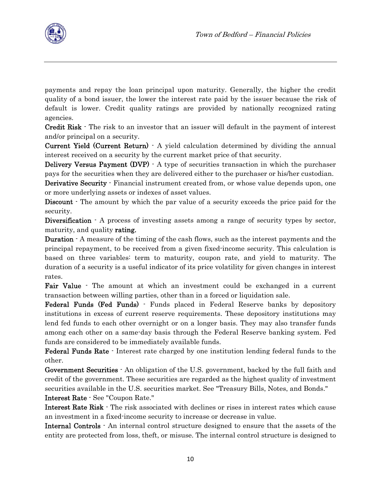payments and repay the loan principal upon maturity. Generally, the higher the credit quality of a bond issuer, the lower the interest rate paid by the issuer because the risk of default is lower. Credit quality ratings are provided by nationally recognized rating agencies.

Credit Risk - The risk to an investor that an issuer will default in the payment of interest and/or principal on a security.

Current Yield (Current Return) - A yield calculation determined by dividing the annual interest received on a security by the current market price of that security.

Delivery Versus Payment (DVP) - A type of securities transaction in which the purchaser pays for the securities when they are delivered either to the purchaser or his/her custodian.

**Derivative Security** - Financial instrument created from, or whose value depends upon, one or more underlying assets or indexes of asset values.

Discount  $\cdot$  The amount by which the par value of a security exceeds the price paid for the security.

Diversification  $\cdot$  A process of investing assets among a range of security types by sector, maturity, and quality rating.

Duration - A measure of the timing of the cash flows, such as the interest payments and the principal repayment, to be received from a given fixed-income security. This calculation is based on three variables: term to maturity, coupon rate, and yield to maturity. The duration of a security is a useful indicator of its price volatility for given changes in interest rates.

Fair Value - The amount at which an investment could be exchanged in a current transaction between willing parties, other than in a forced or liquidation sale.

Federal Funds (Fed Funds) - Funds placed in Federal Reserve banks by depository institutions in excess of current reserve requirements. These depository institutions may lend fed funds to each other overnight or on a longer basis. They may also transfer funds among each other on a same-day basis through the Federal Reserve banking system. Fed funds are considered to be immediately available funds.

Federal Funds Rate - Interest rate charged by one institution lending federal funds to the other.

Government Securities - An obligation of the U.S. government, backed by the full faith and credit of the government. These securities are regarded as the highest quality of investment securities available in the U.S. securities market. See "Treasury Bills, Notes, and Bonds." Interest Rate - See "Coupon Rate."

Interest Rate Risk - The risk associated with declines or rises in interest rates which cause an investment in a fixed-income security to increase or decrease in value.

Internal Controls - An internal control structure designed to ensure that the assets of the entity are protected from loss, theft, or misuse. The internal control structure is designed to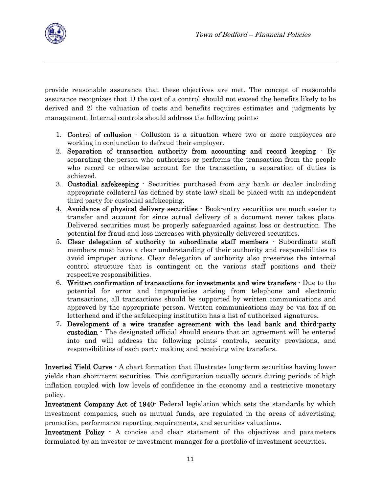provide reasonable assurance that these objectives are met. The concept of reasonable assurance recognizes that 1) the cost of a control should not exceed the benefits likely to be derived and 2) the valuation of costs and benefits requires estimates and judgments by management. Internal controls should address the following points:

- 1. Control of collusion Collusion is a situation where two or more employees are working in conjunction to defraud their employer.
- 2. Separation of transaction authority from accounting and record keeping By separating the person who authorizes or performs the transaction from the people who record or otherwise account for the transaction, a separation of duties is achieved.
- 3. Custodial safekeeping Securities purchased from any bank or dealer including appropriate collateral (as defined by state law) shall be placed with an independent third party for custodial safekeeping.
- 4. Avoidance of physical delivery securities Book-entry securities are much easier to transfer and account for since actual delivery of a document never takes place. Delivered securities must be properly safeguarded against loss or destruction. The potential for fraud and loss increases with physically delivered securities.
- 5. Clear delegation of authority to subordinate staff members Subordinate staff members must have a clear understanding of their authority and responsibilities to avoid improper actions. Clear delegation of authority also preserves the internal control structure that is contingent on the various staff positions and their respective responsibilities.
- 6. Written confirmation of transactions for investments and wire transfers Due to the potential for error and improprieties arising from telephone and electronic transactions, all transactions should be supported by written communications and approved by the appropriate person. Written communications may be via fax if on letterhead and if the safekeeping institution has a list of authorized signatures.
- 7. Development of a wire transfer agreement with the lead bank and third-party custodian - The designated official should ensure that an agreement will be entered into and will address the following points: controls, security provisions, and responsibilities of each party making and receiving wire transfers.

Inverted Yield Curve - A chart formation that illustrates long-term securities having lower yields than short-term securities. This configuration usually occurs during periods of high inflation coupled with low levels of confidence in the economy and a restrictive monetary policy.

Investment Company Act of 1940- Federal legislation which sets the standards by which investment companies, such as mutual funds, are regulated in the areas of advertising, promotion, performance reporting requirements, and securities valuations.

Investment Policy - A concise and clear statement of the objectives and parameters formulated by an investor or investment manager for a portfolio of investment securities.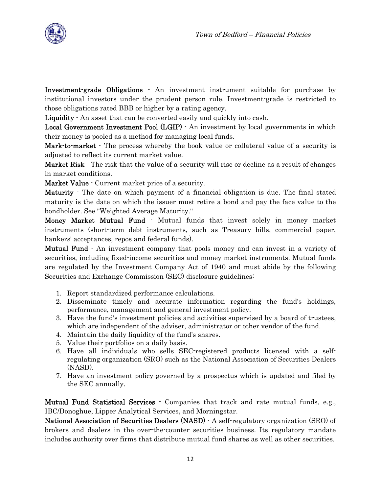

Investment-grade Obligations - An investment instrument suitable for purchase by institutional investors under the prudent person rule. Investment-grade is restricted to those obligations rated BBB or higher by a rating agency.

Liquidity  $\cdot$  An asset that can be converted easily and quickly into cash.

Local Government Investment Pool (LGIP) - An investment by local governments in which their money is pooled as a method for managing local funds.

**Mark-to-market** - The process whereby the book value or collateral value of a security is adjusted to reflect its current market value.

Market Risk  $\cdot$  The risk that the value of a security will rise or decline as a result of changes in market conditions.

Market Value - Current market price of a security.

**Maturity** The date on which payment of a financial obligation is due. The final stated maturity is the date on which the issuer must retire a bond and pay the face value to the bondholder. See "Weighted Average Maturity."

Money Market Mutual Fund - Mutual funds that invest solely in money market instruments (short-term debt instruments, such as Treasury bills, commercial paper, bankers' acceptances, repos and federal funds).

Mutual Fund - An investment company that pools money and can invest in a variety of securities, including fixed-income securities and money market instruments. Mutual funds are regulated by the Investment Company Act of 1940 and must abide by the following Securities and Exchange Commission (SEC) disclosure guidelines:

- 1. Report standardized performance calculations.
- 2. Disseminate timely and accurate information regarding the fund's holdings, performance, management and general investment policy.
- 3. Have the fund's investment policies and activities supervised by a board of trustees, which are independent of the adviser, administrator or other vendor of the fund.
- 4. Maintain the daily liquidity of the fund's shares.
- 5. Value their portfolios on a daily basis.
- 6. Have all individuals who sells SEC-registered products licensed with a selfregulating organization (SRO) such as the National Association of Securities Dealers (NASD).
- 7. Have an investment policy governed by a prospectus which is updated and filed by the SEC annually.

Mutual Fund Statistical Services - Companies that track and rate mutual funds, e.g., IBC/Donoghue, Lipper Analytical Services, and Morningstar.

National Association of Securities Dealers (NASD) - A self-regulatory organization (SRO) of brokers and dealers in the over-the-counter securities business. Its regulatory mandate includes authority over firms that distribute mutual fund shares as well as other securities.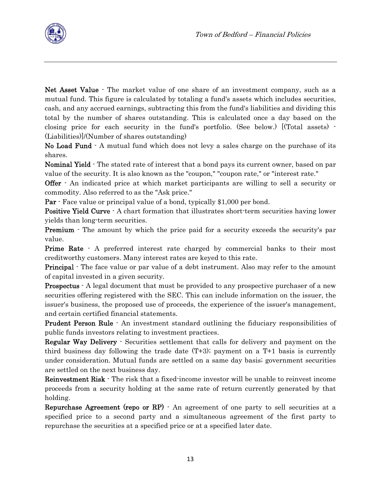

Net Asset Value  $\cdot$  The market value of one share of an investment company, such as a mutual fund. This figure is calculated by totaling a fund's assets which includes securities, cash, and any accrued earnings, subtracting this from the fund's liabilities and dividing this total by the number of shares outstanding. This is calculated once a day based on the closing price for each security in the fund's portfolio. (See below.) [(Total assets) - (Liabilities)]/(Number of shares outstanding)

No Load Fund  $\cdot$  A mutual fund which does not levy a sales charge on the purchase of its shares.

Nominal Yield - The stated rate of interest that a bond pays its current owner, based on par value of the security. It is also known as the "coupon," "coupon rate," or "interest rate."

Offer - An indicated price at which market participants are willing to sell a security or commodity. Also referred to as the "Ask price."

**Par** - Face value or principal value of a bond, typically \$1,000 per bond.

Positive Yield Curve  $\cdot$  A chart formation that illustrates short-term securities having lower yields than long-term securities.

**Premium** - The amount by which the price paid for a security exceeds the security's par value.

**Prime Rate** - A preferred interest rate charged by commercial banks to their most creditworthy customers. Many interest rates are keyed to this rate.

**Principal** The face value or par value of a debt instrument. Also may refer to the amount of capital invested in a given security.

**Prospectus**  $\cdot$  A legal document that must be provided to any prospective purchaser of a new securities offering registered with the SEC. This can include information on the issuer, the issuer's business, the proposed use of proceeds, the experience of the issuer's management, and certain certified financial statements.

Prudent Person Rule - An investment standard outlining the fiduciary responsibilities of public funds investors relating to investment practices.

Regular Way Delivery - Securities settlement that calls for delivery and payment on the third business day following the trade date (T+3); payment on a T+1 basis is currently under consideration. Mutual funds are settled on a same day basis; government securities are settled on the next business day.

Reinvestment Risk - The risk that a fixed-income investor will be unable to reinvest income proceeds from a security holding at the same rate of return currently generated by that holding.

Repurchase Agreement (repo or RP) - An agreement of one party to sell securities at a specified price to a second party and a simultaneous agreement of the first party to repurchase the securities at a specified price or at a specified later date.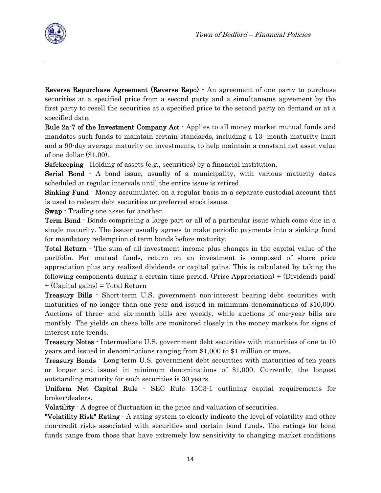Reverse Repurchase Agreement (Reverse Repo) - An agreement of one party to purchase securities at a specified price from a second party and a simultaneous agreement by the first party to resell the securities at a specified price to the second party on demand or at a specified date.

Rule 2a-7 of the Investment Company Act - Applies to all money market mutual funds and mandates such funds to maintain certain standards, including a 13- month maturity limit and a 90-day average maturity on investments, to help maintain a constant net asset value of one dollar (\$1.00).

Safekeeping - Holding of assets (e.g., securities) by a financial institution.

Serial Bond  $\cdot$  A bond issue, usually of a municipality, with various maturity dates scheduled at regular intervals until the entire issue is retired.

Sinking Fund - Money accumulated on a regular basis in a separate custodial account that is used to redeem debt securities or preferred stock issues.

Swap - Trading one asset for another.

**Term Bond** - Bonds comprising a large part or all of a particular issue which come due in a single maturity. The issuer usually agrees to make periodic payments into a sinking fund for mandatory redemption of term bonds before maturity.

Total Return - The sum of all investment income plus changes in the capital value of the portfolio. For mutual funds, return on an investment is composed of share price appreciation plus any realized dividends or capital gains. This is calculated by taking the following components during a certain time period. (Price Appreciation) + (Dividends paid) + (Capital gains) = Total Return

Treasury Bills - Short-term U.S. government non-interest bearing debt securities with maturities of no longer than one year and issued in minimum denominations of \$10,000. Auctions of three- and six-month bills are weekly, while auctions of one-year bills are monthly. The yields on these bills are monitored closely in the money markets for signs of interest rate trends.

Treasury Notes - Intermediate U.S. government debt securities with maturities of one to 10 years and issued in denominations ranging from \$1,000 to \$1 million or more.

Treasury Bonds - Long-term U.S. government debt securities with maturities of ten years or longer and issued in minimum denominations of \$1,000. Currently, the longest outstanding maturity for such securities is 30 years.

Uniform Net Capital Rule - SEC Rule 15C3-1 outlining capital requirements for broker/dealers.

Volatility - A degree of fluctuation in the price and valuation of securities.

"Volatility Risk" Rating - A rating system to clearly indicate the level of volatility and other non-credit risks associated with securities and certain bond funds. The ratings for bond funds range from those that have extremely low sensitivity to changing market conditions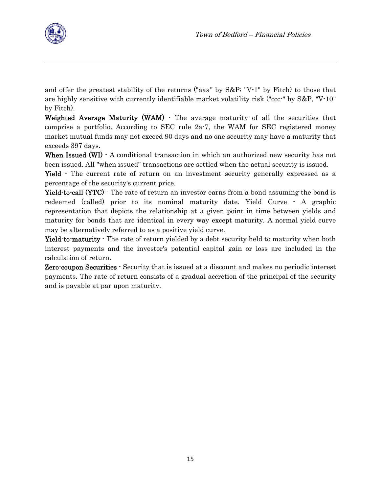

and offer the greatest stability of the returns ("aaa" by S&P; "V-1" by Fitch) to those that are highly sensitive with currently identifiable market volatility risk ("ccc-" by S&P, "V-10" by Fitch).

Weighted Average Maturity (WAM)  $\cdot$  The average maturity of all the securities that comprise a portfolio. According to SEC rule 2a-7, the WAM for SEC registered money market mutual funds may not exceed 90 days and no one security may have a maturity that exceeds 397 days.

When Issued (WI)  $\cdot$  A conditional transaction in which an authorized new security has not been issued. All "when issued" transactions are settled when the actual security is issued.

Yield - The current rate of return on an investment security generally expressed as a percentage of the security's current price.

Yield-to-call (YTC)  $\cdot$  The rate of return an investor earns from a bond assuming the bond is redeemed (called) prior to its nominal maturity date. Yield Curve - A graphic representation that depicts the relationship at a given point in time between yields and maturity for bonds that are identical in every way except maturity. A normal yield curve may be alternatively referred to as a positive yield curve.

Yield-to-maturity - The rate of return yielded by a debt security held to maturity when both interest payments and the investor's potential capital gain or loss are included in the calculation of return.

Zero-coupon Securities - Security that is issued at a discount and makes no periodic interest payments. The rate of return consists of a gradual accretion of the principal of the security and is payable at par upon maturity.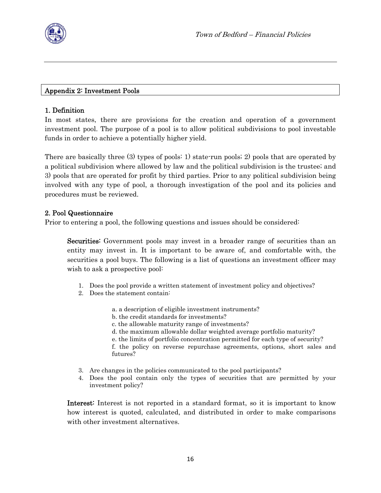

### Appendix 2: Investment Pools

#### 1. Definition

In most states, there are provisions for the creation and operation of a government investment pool. The purpose of a pool is to allow political subdivisions to pool investable funds in order to achieve a potentially higher yield.

There are basically three (3) types of pools: 1) state-run pools; 2) pools that are operated by a political subdivision where allowed by law and the political subdivision is the trustee; and 3) pools that are operated for profit by third parties. Prior to any political subdivision being involved with any type of pool, a thorough investigation of the pool and its policies and procedures must be reviewed.

#### 2. Pool Questionnaire

Prior to entering a pool, the following questions and issues should be considered:

Securities: Government pools may invest in a broader range of securities than an entity may invest in. It is important to be aware of, and comfortable with, the securities a pool buys. The following is a list of questions an investment officer may wish to ask a prospective pool:

- 1. Does the pool provide a written statement of investment policy and objectives?
- 2. Does the statement contain:
	- a. a description of eligible investment instruments?
	- b. the credit standards for investments?
	- c. the allowable maturity range of investments?
	- d. the maximum allowable dollar weighted average portfolio maturity?
	- e. the limits of portfolio concentration permitted for each type of security?

f. the policy on reverse repurchase agreements, options, short sales and futures?

- 3. Are changes in the policies communicated to the pool participants?
- 4. Does the pool contain only the types of securities that are permitted by your investment policy?

Interest: Interest is not reported in a standard format, so it is important to know how interest is quoted, calculated, and distributed in order to make comparisons with other investment alternatives.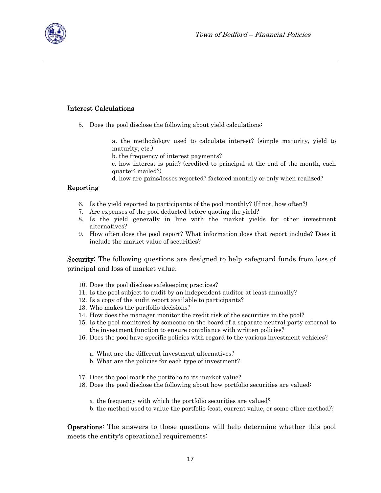

#### Interest Calculations

5. Does the pool disclose the following about yield calculations:

a. the methodology used to calculate interest? (simple maturity, yield to maturity, etc.)

b. the frequency of interest payments?

c. how interest is paid? (credited to principal at the end of the month, each quarter; mailed?)

d. how are gains/losses reported? factored monthly or only when realized?

#### Reporting

- 6. Is the yield reported to participants of the pool monthly? (If not, how often?)
- 7. Are expenses of the pool deducted before quoting the yield?
- 8. Is the yield generally in line with the market yields for other investment alternatives?
- 9. How often does the pool report? What information does that report include? Does it include the market value of securities?

**Security:** The following questions are designed to help safeguard funds from loss of principal and loss of market value.

- 10. Does the pool disclose safekeeping practices?
- 11. Is the pool subject to audit by an independent auditor at least annually?
- 12. Is a copy of the audit report available to participants?
- 13. Who makes the portfolio decisions?
- 14. How does the manager monitor the credit risk of the securities in the pool?
- 15. Is the pool monitored by someone on the board of a separate neutral party external to the investment function to ensure compliance with written policies?
- 16. Does the pool have specific policies with regard to the various investment vehicles?
	- a. What are the different investment alternatives?
	- b. What are the policies for each type of investment?
- 17. Does the pool mark the portfolio to its market value?
- 18. Does the pool disclose the following about how portfolio securities are valued:
	- a. the frequency with which the portfolio securities are valued?
	- b. the method used to value the portfolio (cost, current value, or some other method)?

Operations: The answers to these questions will help determine whether this pool meets the entity's operational requirements: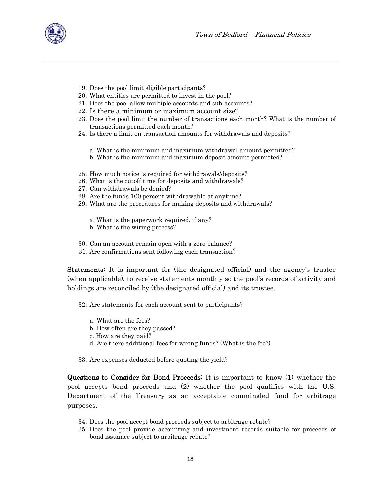

- 19. Does the pool limit eligible participants?
- 20. What entities are permitted to invest in the pool?
- 21. Does the pool allow multiple accounts and sub-accounts?
- 22. Is there a minimum or maximum account size?
- 23. Does the pool limit the number of transactions each month? What is the number of transactions permitted each month?
- 24. Is there a limit on transaction amounts for withdrawals and deposits?
	- a. What is the minimum and maximum withdrawal amount permitted?
	- b. What is the minimum and maximum deposit amount permitted?
- 25. How much notice is required for withdrawals/deposits?
- 26. What is the cutoff time for deposits and withdrawals?
- 27. Can withdrawals be denied?
- 28. Are the funds 100 percent withdrawable at anytime?
- 29. What are the procedures for making deposits and withdrawals?
	- a. What is the paperwork required, if any?
	- b. What is the wiring process?
- 30. Can an account remain open with a zero balance?
- 31. Are confirmations sent following each transaction?

Statements: It is important for (the designated official) and the agency's trustee (when applicable), to receive statements monthly so the pool's records of activity and holdings are reconciled by (the designated official) and its trustee.

32. Are statements for each account sent to participants?

- a. What are the fees?
- b. How often are they passed?
- c. How are they paid?
- d. Are there additional fees for wiring funds? (What is the fee?)

33. Are expenses deducted before quoting the yield?

Questions to Consider for Bond Proceeds: It is important to know (1) whether the pool accepts bond proceeds and (2) whether the pool qualifies with the U.S. Department of the Treasury as an acceptable commingled fund for arbitrage purposes.

- 34. Does the pool accept bond proceeds subject to arbitrage rebate?
- 35. Does the pool provide accounting and investment records suitable for proceeds of bond issuance subject to arbitrage rebate?